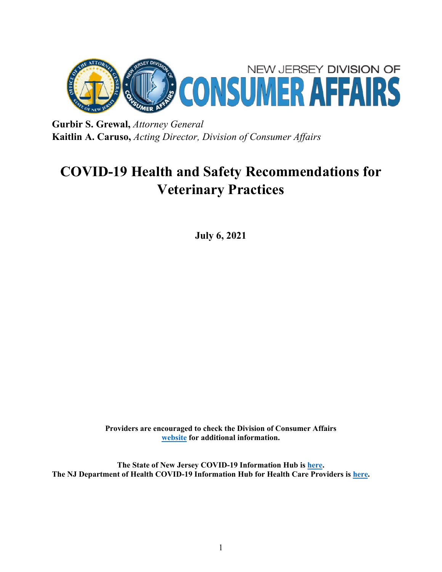

**Gurbir S. Grewal,** *Attorney General* **Kaitlin A. Caruso,** *Acting Director, Division of Consumer Affairs*

# **COVID-19 Health and Safety Recommendations for Veterinary Practices**

**July 6, 2021**

**Providers are encouraged to check the Division of Consumer Affairs [website](https://www.njconsumeraffairs.gov/COVID19/Pages/default.aspx) for additional information.**

**The State of New Jersey COVID-19 Information Hub is [here.](https://covid19.nj.gov/) The NJ Department of Health COVID-19 Information Hub for Health Care Providers is [here.](https://www.nj.gov/health/cd/topics/covid2019_healthcare.shtml)**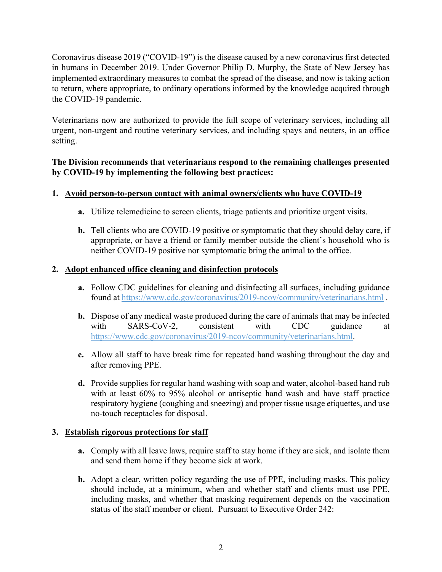Coronavirus disease 2019 ("COVID-19") is the disease caused by a new coronavirus first detected in humans in December 2019. Under Governor Philip D. Murphy, the State of New Jersey has implemented extraordinary measures to combat the spread of the disease, and now is taking action to return, where appropriate, to ordinary operations informed by the knowledge acquired through the COVID-19 pandemic.

Veterinarians now are authorized to provide the full scope of veterinary services, including all urgent, non-urgent and routine veterinary services, and including spays and neuters, in an office setting.

## **The Division recommends that veterinarians respond to the remaining challenges presented by COVID-19 by implementing the following best practices:**

# **1. Avoid person-to-person contact with animal owners/clients who have COVID-19**

- **a.** Utilize telemedicine to screen clients, triage patients and prioritize urgent visits.
- **b.** Tell clients who are COVID-19 positive or symptomatic that they should delay care, if appropriate, or have a friend or family member outside the client's household who is neither COVID-19 positive nor symptomatic bring the animal to the office.

#### **2. Adopt enhanced office cleaning and disinfection protocols**

- **a.** Follow CDC guidelines for cleaning and disinfecting all surfaces, including guidance found at<https://www.cdc.gov/coronavirus/2019-ncov/community/veterinarians.html> .
- **b.** Dispose of any medical waste produced during the care of animals that may be infected with SARS-CoV-2, consistent with CDC guidance at [https://www.cdc.gov/coronavirus/2019-ncov/community/veterinarians.html.](https://www.cdc.gov/coronavirus/2019-ncov/community/veterinarians.html)
- **c.** Allow all staff to have break time for repeated hand washing throughout the day and after removing PPE.
- **d.** Provide supplies for regular hand washing with soap and water, alcohol-based hand rub with at least 60% to 95% alcohol or antiseptic hand wash and have staff practice respiratory hygiene (coughing and sneezing) and proper tissue usage etiquettes, and use no-touch receptacles for disposal.

## **3. Establish rigorous protections for staff**

- **a.** Comply with all leave laws, require staff to stay home if they are sick, and isolate them and send them home if they become sick at work.
- **b.** Adopt a clear, written policy regarding the use of PPE, including masks. This policy should include, at a minimum, when and whether staff and clients must use PPE, including masks, and whether that masking requirement depends on the vaccination status of the staff member or client. Pursuant to Executive Order 242: